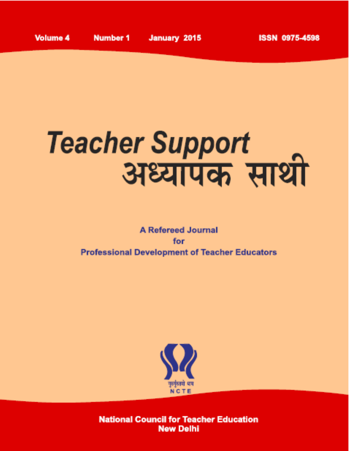# Teacher Support<br>अध्यापक साथी

# **A Refereed Journal** for **Professional Development of Teacher Educators**



**National Council for Teacher Education New Delhi**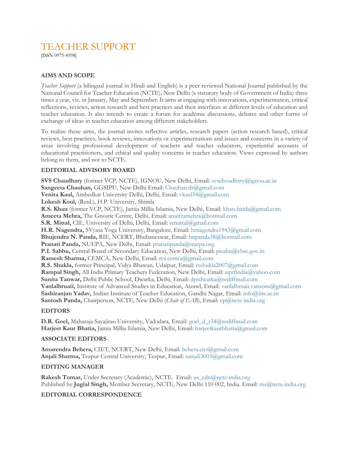### TEACHER SUPPORT

[ISSN 0975-4598]

#### **AIMS AND SCOPE**

*Teacher Support* (a bilingual journal in Hindi and English) is a peer reviewed National Journal published by the National Council for Teacher Education (NCTE), New Delhi (a statutory body of Government of India) three times a year, viz. in January, May and September. It aims at engaging with innovations, experimentation, critical reflections, reviews, action research and best practices and their interfaces at different levels of education and teacher education. It also intends to create a forum for academic discussions, debates and other forms of exchange of ideas in teacher education among different stakeholders.

To realize these aims, the journal invites reflective articles, research papers (action research based), critical reviews, best practices, book reviews, innovations or experimentations and issues and concerns in a variety of areas involving professional development of teachers and teacher educators, experiential accounts of educational practitioners, and ethical and quality concerns in teacher education. Views expressed by authors belong to them, and not to NCTE.

#### **EDITORIAL ADVISORY BOARD**

**SVS Chaudhary** (former VCP, NCTE), IGNOU, New Delhi, Email: [svschoudhary@ignou.ac.in](mailto:svschoudhary@ignou.ac.in) **Sangeeta Chauhan,** GGSIPU, New Delhi Email: [Chauhan.dr@gmail.com](mailto:Chauhan.dr@gmail.com) **Venita Kaul,** Ambedkar University Delhi, Delhi, Email: [vkaul54@gmail.com](mailto:vkaul54@gmail.com) **Lokesh Koul,** (Retd.), H.P. University, Shimla **R.S. Khan** (former VCP, NCTE), Jamia Millia Islamia, New Delhi, Email: [khan.farida@gmail.com](mailto:khan.farida@gmail.com) **Ameeta Mehra,** The Gnostic Centre, Delhi, Email: [ameetamehra@hotmail.com](mailto:ameetamehra@hotmail.com) **S.R. Mittal,** CIE, University of Delhi, Delhi, Email: [srmittal@gmail.com](mailto:srmittal@gmail.com) **H.R. Nagendra,** SVyasa Yoga University, Bangalore, Email: [hrnagendra1943@gmail.com](mailto:hrnagendra1943@gmail.com) **Bhujendra N. Panda,** RIE, NCERT, Bhubaneswar, Email: [bnpanda38@hotmail.com](mailto:bnpanda38@hotmail.com) **Pranati Panda,** NUEPA, New Delhi, Email: [pranatipanda@nuepa.org](mailto:pranatipanda@nuepa.org) **P.I. Sabbu,** Central Board of Secondary Education, New Delhi, Email: [pisabu@cbse.gov.in](mailto:pisabu@cbse.gov.in) **Ramesh Sharma,** CEMCA, New Delhi, Email: [rcs.cemca@gmail.com](mailto:rcs.cemca@gmail.com) **R.S. Shukla,** former Principal, Vidya Bhawan, Udaipur, Email: [rsshukla2007@gmail.com](mailto:rsshukla2007@gmail.com) **Rampal Singh,** All India Primary Teachers Federation, New Delhi, Email: [aiptfindia@yahoo.com](mailto:aiptfindia@yahoo.com) **Sunita Tanwar,** Delhi Public School, Dwarka, Delhi, Email: [dpsdwarka@rediffmail.com](mailto:dpsdwarka@rediffmail.com) **Vanlalhruaii,** Institute of Advanced Studies in Education, Aizawl, Email: [vanlalhruaii.vansons@gmail.com](mailto:vanlalhruaii.vansons@gmail.com) **Sashiranjan Yadav,** Indian Institute of Teacher Education, Gandhi Nagar, Email: [info@iite.ac.in](mailto:info@iite.ac.in) **Santosh Panda,** Chairperson, NCTE, New Delhi (*Chair of EAB*), Email: [cp@ncte-india.org](mailto:cp@ncte-india.org)

#### **EDITORS**

**D.R. Goel,** Maharaja Sayajirao University, Vadodara, Email: [goel\\_d\\_r34@rediffmail.com](mailto:goel_d_r34@rediffmail.com) **Harjeet Kaur Bhatia,** Jamia Millia Islamia, New Delhi, Email: [harjeetkaurbhatia@gmail.com](mailto:harjeetkaurbhatia@gmail.com)

#### **ASSOCIATE EDITORS**

**Amarendra Behera,** CIET, NCERT, New Delhi, Email: [behera.ciet@gmail.com](mailto:behera.ciet@gmail.com) **Anjali Sharma,** Tezpur Central University, Tezpur, Email: [sanjali3003@gmail.com](mailto:sanjali3003@gmail.com)

#### **EDITING MANAGER**

**Rakesh Tomar,** Under Secretary (Academic), NCTE. Email: [us\\_cdn@ncte-india.org](mailto:us_cdn@ncte-india.org) Published by **Juglal Singh,** Member Secretary, NCTE, New Delhi 110 002, India. Email: [ms@ncte-india.org](mailto:us_cdn@ncte-india.org)

#### **EDITORIAL CORRESPONDENCE**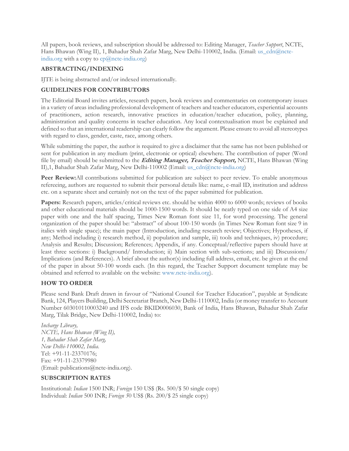All papers, book reviews, and subscription should be addressed to: Editing Manager, *Teacher Support*, NCTE, Hans Bhawan (Wing II), 1, Bahadur Shah Zafar Marg, New Delhi-110002, India. (Email: [us\\_cdn@ncte](mailto:us_cdn@ncte-india.org)[india.org](mailto:us_cdn@ncte-india.org) with a copy to  $cp(\theta)$ ncte-india.org)

#### **ABSTRACTING/INDEXING**

IJTE is being abstracted and/or indexed internationally.

#### **GUIDELINES FOR CONTRIBUTORS**

The Editorial Board invites articles, research papers, book reviews and commentaries on contemporary issues in a variety of areas including professional development of teachers and teacher educators, experiential accounts of practitioners, action research, innovative practices in education/teacher education, policy, planning, administration and quality concerns in teacher education. Any local contextualisation must be explained and defined so that an international readership can clearly follow the argument. Please ensure to avoid all stereotypes with regard to class, gender, caste, race, among others.

While submitting the paper, the author is required to give a disclaimer that the same has not been published or sent for publication in any medium (print, electronic or optical) elsewhere. The contribution of paper (Word file by email) should be submitted to the **Editing Manager, Teacher Support,** NCTE, Hans Bhawan (Wing II),1, Bahadur Shah Zafar Marg, New Delhi-110002 (Email: [us\\_cdn@ncte-india.org\)](mailto:us_cdn@ncte-india.org)

**Peer Review:**All contributions submitted for publication are subject to peer review. To enable anonymous refereeing, authors are requested to submit their personal details like: name, e-mail ID, institution and address etc. on a separate sheet and certainly not on the text of the paper submitted for publication.

**Papers:** Research papers, articles/critical reviews etc. should be within 4000 to 6000 words; reviews of books and other educational materials should be 1000-1500 words. It should be neatly typed on one side of A4 size paper with one and the half spacing, Times New Roman font size 11, for word processing. The general organization of the paper should be: "abstract" of about 100-150 words (in Times New Roman font size 9 in italics with single space); the main paper (Introduction, including research review; Objectives; Hypotheses, if any; Method including i) research method, ii) population and sample, iii) tools and techniques, iv) procedure; Analysis and Results; Discussion; References; Appendix, if any. Conceptual/reflective papers should have at least three sections: i) Background/ Introduction; ii) Main section with sub-sections; and iii) Discussions/ Implications (and References). A brief about the author(s) including full address, email, etc. be given at the end of the paper in about 50-100 words each. (In this regard, the Teacher Support document template may be obtained and referred to available on the website: [www.ncte-india.org\)](http://www.ncte-india.org/).

#### **HOW TO ORDER**

Please send Bank Draft drawn in favour of "National Council for Teacher Education", payable at Syndicate Bank, 124, Players Building, Delhi Secretariat Branch, New Delhi-1110002, India (or money transfer to Account Number 603010110003240 and IFS code BKID0006030, Bank of India, Hans Bhawan, Bahadur Shah Zafar Marg, Tilak Bridge, New Delhi-110002, India) to:

*Incharge Library, NCTE, Hans Bhawan (Wing II), 1, Bahadur Shah Zafar Marg, New Delhi-110002, India*. Tel: +91-11-23370176; Fax: +91-11-23379980 (Email: publications@ncte-india.org).

#### **SUBSCRIPTION RATES**

Institutional: *Indian* 1500 INR; *Foreign* 150 US\$ (Rs. 500/\$ 50 single copy) Individual: *Indian* 500 INR; *Foreign 5*0 US\$ (Rs. 200/\$ 25 single copy)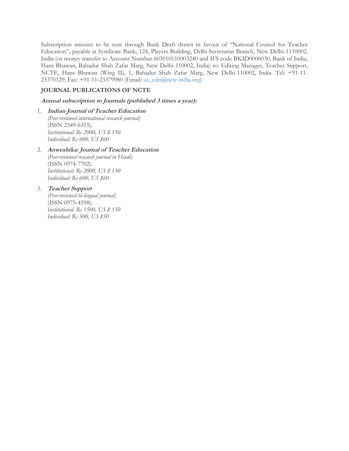Subscription amount to be sent through Bank Draft drawn in favour of "National Council for Teacher Education", payable at Syndicate Bank, 124, Players Building, Delhi Secretariat Branch, New Delhi-1110002, India (or money transfer to Account Number 603010110003240 and IFS code BKID0006030, Bank of India, Hans Bhawan, Bahadur Shah Zafar Marg, New Delhi-110002, India) to: Editing Manager, Teacher Support, NCTE, Hans Bhawan (Wing II), 1, Bahadur Shah Zafar Marg, New Delhi-110002, India. Tel: +91-11- 23370129; Fax: +91-11-23379980 (Email: [us\\_cdn@ncte-india.org\)](mailto:us_cdn@ncte-india.org)

#### **JOURNAL PUBLICATIONS OF NCTE**

#### **Annual subscription to Journals (published 3 times <sup>a</sup> year):**

1. **Indian Journal of Teacher Education** *(Peer-reviewed international research journal)* (ISSN 2349-6355). *Institutional: Rs 2000, US \$ 150 Individual: Rs 600, US \$60*

#### 2. **Anweshika: Journal of Teacher Education** *(Peer-reviewed research journal in Hindi)* (ISSN 0974-7702). *Institutional: Rs 2000, US \$ 150*

*Individual: Rs 600, US \$60*

#### 3. **Teacher Support**

*(Peer-reviewed bi-lingual journal)* (ISSN 0975-4598). *Institutional: Rs 1500, US \$ 150 Individual: Rs 500, US \$50*